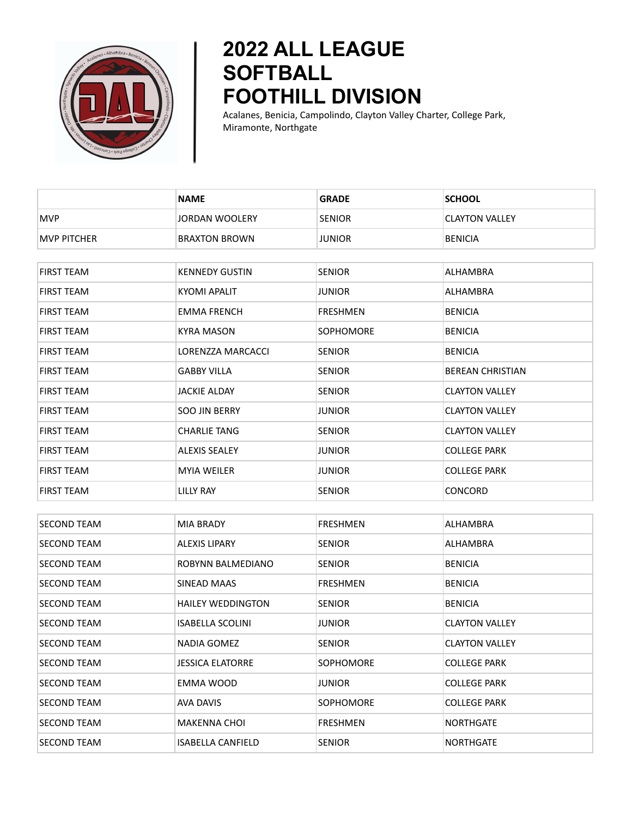

## **2022 ALL LEAGUE SOFTBALL FOOTHILL DIVISION**

Acalanes, Benicia, Campolindo, Clayton Valley Charter, College Park, Miramonte, Northgate

|                    | <b>NAME</b>              | <b>GRADE</b>     | <b>SCHOOL</b>           |
|--------------------|--------------------------|------------------|-------------------------|
| <b>MVP</b>         | <b>JORDAN WOOLERY</b>    | <b>SENIOR</b>    | <b>CLAYTON VALLEY</b>   |
| <b>MVP PITCHER</b> | <b>BRAXTON BROWN</b>     | <b>JUNIOR</b>    | <b>BENICIA</b>          |
|                    |                          |                  |                         |
| <b>FIRST TEAM</b>  | <b>KENNEDY GUSTIN</b>    | <b>SENIOR</b>    | ALHAMBRA                |
| <b>FIRST TEAM</b>  | <b>KYOMI APALIT</b>      | <b>JUNIOR</b>    | ALHAMBRA                |
| <b>FIRST TEAM</b>  | <b>EMMA FRENCH</b>       | <b>FRESHMEN</b>  | <b>BENICIA</b>          |
| <b>FIRST TEAM</b>  | <b>KYRA MASON</b>        | <b>SOPHOMORE</b> | <b>BENICIA</b>          |
| <b>FIRST TEAM</b>  | LORENZZA MARCACCI        | <b>SENIOR</b>    | <b>BENICIA</b>          |
| <b>FIRST TEAM</b>  | <b>GABBY VILLA</b>       | <b>SENIOR</b>    | <b>BEREAN CHRISTIAN</b> |
| <b>FIRST TEAM</b>  | <b>JACKIE ALDAY</b>      | <b>SENIOR</b>    | <b>CLAYTON VALLEY</b>   |
| <b>FIRST TEAM</b>  | <b>SOO JIN BERRY</b>     | <b>JUNIOR</b>    | <b>CLAYTON VALLEY</b>   |
| <b>FIRST TEAM</b>  | <b>CHARLIE TANG</b>      | <b>SENIOR</b>    | <b>CLAYTON VALLEY</b>   |
| FIRST TEAM         | <b>ALEXIS SEALEY</b>     | JUNIOR           | <b>COLLEGE PARK</b>     |
| <b>FIRST TEAM</b>  | <b>MYIA WEILER</b>       | <b>JUNIOR</b>    | <b>COLLEGE PARK</b>     |
| <b>FIRST TEAM</b>  | LILLY RAY                | <b>SENIOR</b>    | CONCORD                 |
|                    |                          |                  |                         |
| <b>SECOND TEAM</b> | <b>MIA BRADY</b>         | <b>FRESHMEN</b>  | ALHAMBRA                |
| <b>SECOND TEAM</b> | <b>ALEXIS LIPARY</b>     | <b>SENIOR</b>    | ALHAMBRA                |
| <b>SECOND TEAM</b> | ROBYNN BALMEDIANO        | <b>SENIOR</b>    | <b>BENICIA</b>          |
| <b>SECOND TEAM</b> | SINEAD MAAS              | <b>FRESHMEN</b>  | <b>BENICIA</b>          |
| <b>SECOND TEAM</b> | <b>HAILEY WEDDINGTON</b> | <b>SENIOR</b>    | <b>BENICIA</b>          |
| <b>SECOND TEAM</b> | <b>ISABELLA SCOLINI</b>  | <b>JUNIOR</b>    | <b>CLAYTON VALLEY</b>   |
| <b>SECOND TEAM</b> | <b>NADIA GOMEZ</b>       | <b>SENIOR</b>    | <b>CLAYTON VALLEY</b>   |
| <b>SECOND TEAM</b> | <b>JESSICA ELATORRE</b>  | SOPHOMORE        | <b>COLLEGE PARK</b>     |
| SECOND TEAM        | EMMA WOOD                | <b>JUNIOR</b>    | COLLEGE PARK            |
| <b>SECOND TEAM</b> | <b>AVA DAVIS</b>         | SOPHOMORE        | <b>COLLEGE PARK</b>     |
| SECOND TEAM        | <b>MAKENNA CHOI</b>      | <b>FRESHMEN</b>  | <b>NORTHGATE</b>        |
| <b>SECOND TEAM</b> | <b>ISABELLA CANFIELD</b> | <b>SENIOR</b>    | <b>NORTHGATE</b>        |